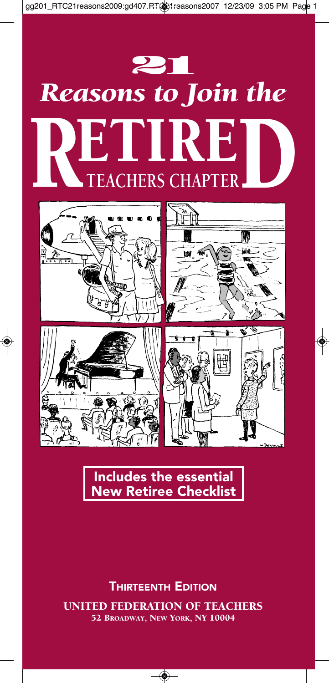

# *Reasons to Join the* **TEACHERS CHAPTER** RETIRED



**Includes the essential New Retiree Checklist**

UNITED FEDERATION OF TEACHERS 52 BROADWAY, NEW YORK, NY 10004 **THIRTEENTH EDITION**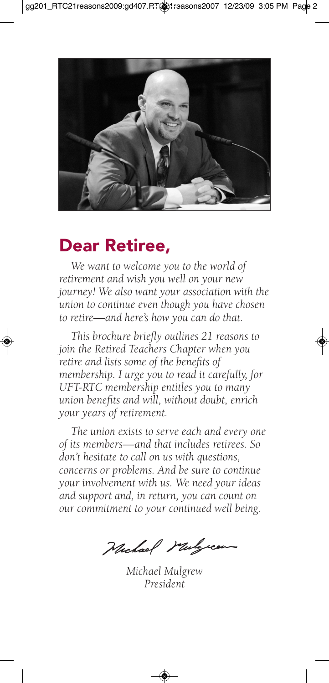

#### **Dear Retiree,**

*We want to welcome you to the world of retirement and wish you well on your new journey! We also want your association with the union to continue even though you have chosen to retire—and here's how you can do that.*

*This brochure briefly outlines 21 reasons to join the Retired Teachers Chapter when you retire and lists some of the benefits of membership. I urge you to read it carefully, for UFT-RTC membership entitles you to many union benefits and will, without doubt, enrich your years of retirement.*

*The union exists to serve each and every one of its members—and that includes retirees. So don't hesitate to call on us with questions, concerns or problems. And be sure to continue your involvement with us. We need your ideas and support and, in return, you can count on our commitment to your continued well being.*

Michael Mulgreen

*Michael Mulgrew President*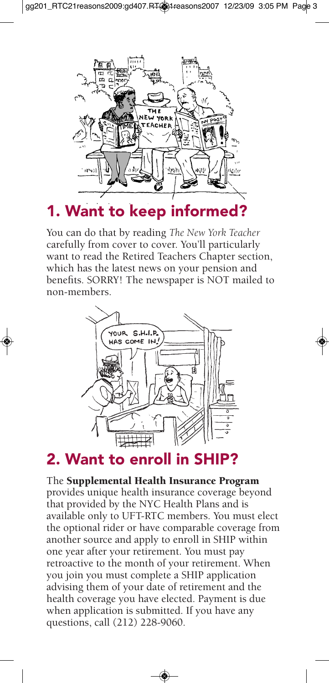

**1. Want to keep informed?**

You can do that by reading *The New York Teacher* carefully from cover to cover. You'll particularly want to read the Retired Teachers Chapter section, which has the latest news on your pension and benefits. SORRY! The newspaper is NOT mailed to non-members.



#### **2.** Want to enroll

The Supplemental Health Insurance Program provides unique health insurance coverage beyond that provided by the NYC Health Plans and is available only to UFT-RTC members. You must elect the optional rider or have comparable coverage from another source and apply to enroll in SHIP within one year after your retirement. You must pay retroactive to the month of your retirement. When you join you must complete a SHIP application advising them of your date of retirement and the health coverage you have elected. Payment is due when application is submitted. If you have any questions, call (212) 228-9060.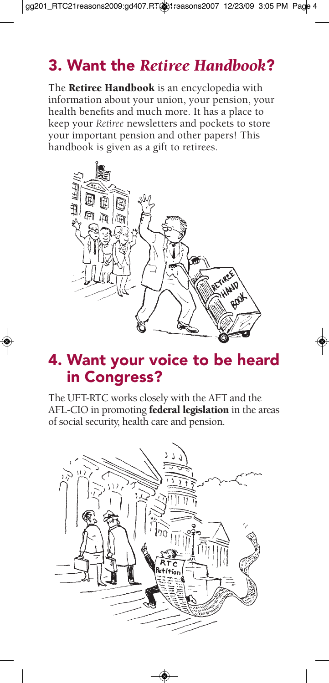# **3. Want the** *Retiree Handbook***?**

The **Retiree Handbook** is an encyclopedia with information about your union, your pension, your health benefits and much more. It has a place to keep your *Retiree* newsletters and pockets to store your important pension and other papers! This handbook is given as a gift to retirees.



#### **4. Want your voice to be heard in Congress?**

The UFT-RTC works closely with the AFT and the AFL-CIO in promoting federal legislation in the areas of social security, health care and pension.

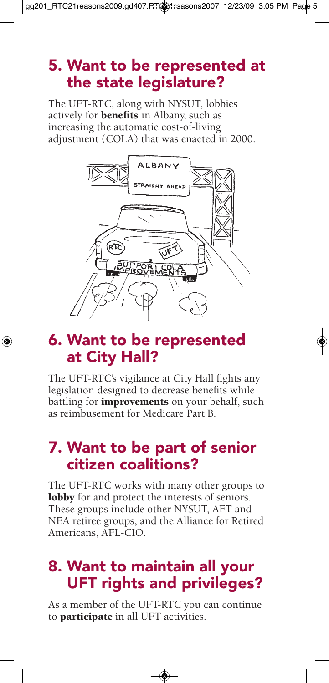## **5. Want to be represented at the state legislature?**

The UFT-RTC, along with NYSUT, lobbies actively for benefits in Albany, such as increasing the automatic cost-of-living adjustment (COLA) that was enacted in 2000.



#### **6. Want to be represented at City Hall?**

The UFT-RTC's vigilance at City Hall fights any legislation designed to decrease benefits while battling for **improvements** on your behalf, such as reimbusement for Medicare Part B.

## **7. Want to be part of senior citizen coalitions?**

The UFT-RTC works with many other groups to lobby for and protect the interests of seniors. These groups include other NYSUT, AFT and NEA retiree groups, and the Alliance for Retired Americans, AFL-CIO.

## **8. Want to maintain all your UFT rights and privileges?**

As a member of the UFT-RTC you can continue to **participate** in all UFT activities.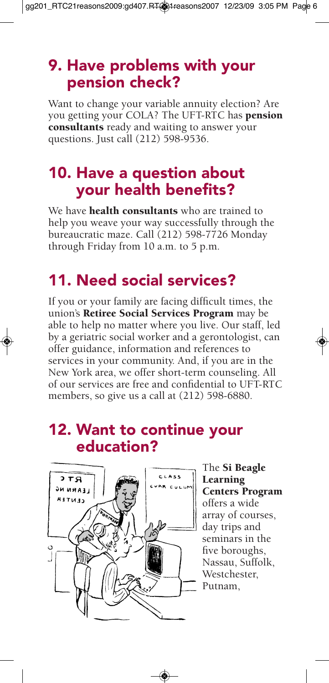#### **9. Have problems with your pension check?**

Want to change your variable annuity election? Are you getting your COLA? The UFT-RTC has pension consultants ready and waiting to answer your questions. Just call (212) 598-9536.

#### **10. Have a question about your health benefits?**

We have **health consultants** who are trained to help you weave your way successfully through the bureaucratic maze. Call (212) 598-7726 Monday through Friday from 10 a.m. to 5 p.m.

# **11. Need social services?**

If you or your family are facing difficult times, the union's Retiree Social Services Program may be able to help no matter where you live. Our staff, led by a geriatric social worker and a gerontologist, can offer guidance, information and references to services in your community. And, if you are in the New York area, we offer short-term counseling. All of our services are free and confidential to UFT-RTC members, so give us a call at (212) 598-6880.

#### **12. Want to continue your education?**



The Si Beagle Learning Centers Program offers a wide array of courses, day trips and seminars in the five boroughs, Nassau, Suffolk, Westchester, Putnam,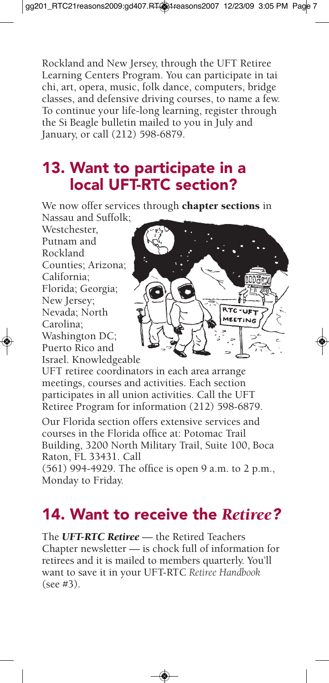Rockland and New Jersey, through the UFT Retiree Learning Centers Program. You can participate in tai chi, art, opera, music, folk dance, computers, bridge classes, and defensive driving courses, to name a few. To continue your life-long learning, register through the Si Beagle bulletin mailed to you in July and January, or call (212) 598-6879.

## **13. Want to participate in a local UFT-RTC section?**

We now offer services through chapter sections in Nassau and Suffolk;

Westchester, Putnam and Rockland Counties; Arizona; California; Florida; Georgia; New Jersey; Nevada; North Carolina; Washington DC; Puerto Rico and Israel. Knowledgeable



UFT retiree coordinators in each area arrange meetings, courses and activities. Each section participates in all union activities. Call the UFT Retiree Program for information (212) 598-6879.

Our Florida section offers extensive services and courses in the Florida office at: Potomac Trail Building, 3200 North Military Trail, Suite 100, Boca Raton, FL 33431. Call

(561) 994-4929. The office is open 9 a.m. to 2 p.m., Monday to Friday.

# **14. Want to receive the** *Retiree?*

The *UFT-RTC Retiree* — the Retired Teachers Chapter newsletter — is chock full of information for retirees and it is mailed to members quarterly. You'll want to save it in your UFT-RTC *Retiree Handbook* (see #3).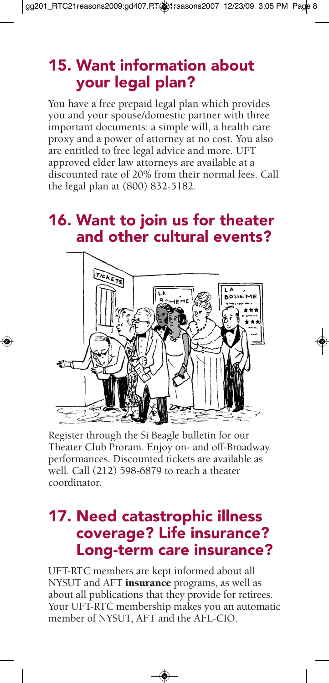# **15. Want information about your legal plan?**

You have a free prepaid legal plan which provides you and your spouse/domestic partner with three important documents: a simple will, a health care proxy and a power of attorney at no cost. You also are entitled to free legal advice and more. UFT approved elder law attorneys are available at a discounted rate of 20% from their normal fees. Call the legal plan at (800) 832-5182.

#### **16. Want to join us for theater and other cultural events?**



Register through the Si Beagle bulletin for our Theater Club Proram. Enjoy on- and off-Broadway performances. Discounted tickets are available as well. Call (212) 598-6879 to reach a theater coordinator.

#### **17. Need catastrophic illness coverage? Life insurance? Long-term care insurance?**

UFT-RTC members are kept informed about all NYSUT and AFT *insurance* programs, as well as about all publications that they provide for retirees. Your UFT-RTC membership makes you an automatic member of NYSUT, AFT and the AFL-CIO.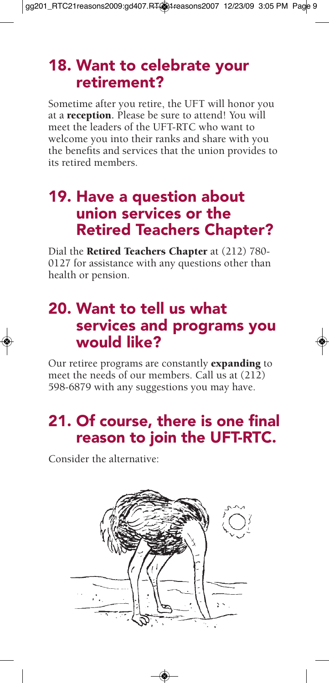#### **18. Want to celebrate your retirement?**

Sometime after you retire, the UFT will honor you at a reception**.** Please be sure to attend! You will meet the leaders of the UFT-RTC who want to welcome you into their ranks and share with you the benefits and services that the union provides to its retired members.

#### **19. Have a question about union services or the Retired Teachers Chapter?**

Dial the Retired Teachers Chapter at (212) 780- 0127 for assistance with any questions other than health or pension.

#### **20. Want to tell us what services and programs you would like?**

Our retiree programs are constantly **expanding** to meet the needs of our members. Call us at (212) 598-6879 with any suggestions you may have.

# **21. Of course, there is one final reason to join the UFT-RTC.**

Consider the alternative:

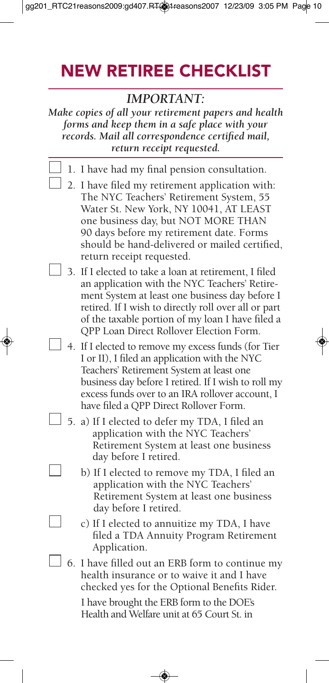# **NEW RETIREE CHECKLIST**

#### *IMPORTANT:*

*Make copies of all your retirement papers and health forms and keep them in a safe place with your records. Mail all correspondence certified mail, return receipt requested.*

- 1. I have had my final pension consultation.
- $\perp$  2. I have filed my retirement application with: The NYC Teachers' Retirement System, 55 Water St. New York, NY 10041, AT LEAST one business day, but NOT MORE THAN 90 days before my retirement date. Forms should be hand-delivered or mailed certified, return receipt requested.
- $\Box$  3. If I elected to take a loan at retirement, I filed an application with the NYC Teachers' Retirement System at least one business day before I retired. If I wish to directly roll over all or part of the taxable portion of my loan I have filed a QPP Loan Direct Rollover Election Form.
- 4. If I elected to remove my excess funds (for Tier I or II), I filed an application with the NYC Teachers' Retirement System at least one business day before I retired. If I wish to roll my excess funds over to an IRA rollover account, I have filed a QPP Direct Rollover Form.
	- $\Box$  5. a) If I elected to defer my TDA, I filed an application with the NYC Teachers' Retirement System at least one business day before I retired.
		- b) If I elected to remove my TDA, I filed an application with the NYC Teachers' Retirement System at least one business day before I retired.

c) If I elected to annuitize my TDA, I have filed a TDA Annuity Program Retirement Application.

 $\Box$  6. I have filled out an ERB form to continue my health insurance or to waive it and I have checked yes for the Optional Benefits Rider. I have brought the ERB form to the DOE's

Health and Welfare unit at 65 Court St. in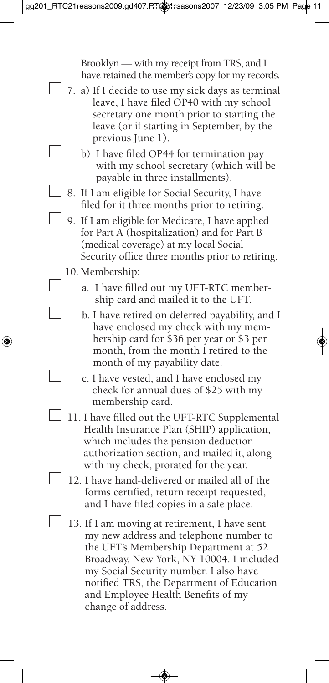Brooklyn — with my receipt from TRS, and I have retained the member's copy for my records.

- $\Box$  7. a) If I decide to use my sick days as terminal leave, I have filed OP40 with my school secretary one month prior to starting the leave (or if starting in September, by the previous June 1).
	- b) I have filed OP44 for termination pay with my school secretary (which will be payable in three installments).
- □ 8. If I am eligible for Social Security, I have filed for it three months prior to retiring.
	- $\Box$  9. If I am eligible for Medicare, I have applied for Part A (hospitalization) and for Part B (medical coverage) at my local Social Security office three months prior to retiring.
		- 10. Membership:
			- a. I have filled out my UFT-RTC membership card and mailed it to the UFT.
			- b. I have retired on deferred payability, and I have enclosed my check with my membership card for \$36 per year or \$3 per month, from the month I retired to the month of my payability date.
			- c. I have vested, and I have enclosed my check for annual dues of \$25 with my membership card.
		- 11. I have filled out the UFT-RTC Supplemental Health Insurance Plan (SHIP) application, which includes the pension deduction authorization section, and mailed it, along with my check, prorated for the year.
- 12. I have hand-delivered or mailed all of the forms certified, return receipt requested, and I have filed copies in a safe place.
	- $\Box$  13. If I am moving at retirement, I have sent my new address and telephone number to the UFT's Membership Department at 52 Broadway, New York, NY 10004. I included my Social Security number. I also have notified TRS, the Department of Education and Employee Health Benefits of my change of address.